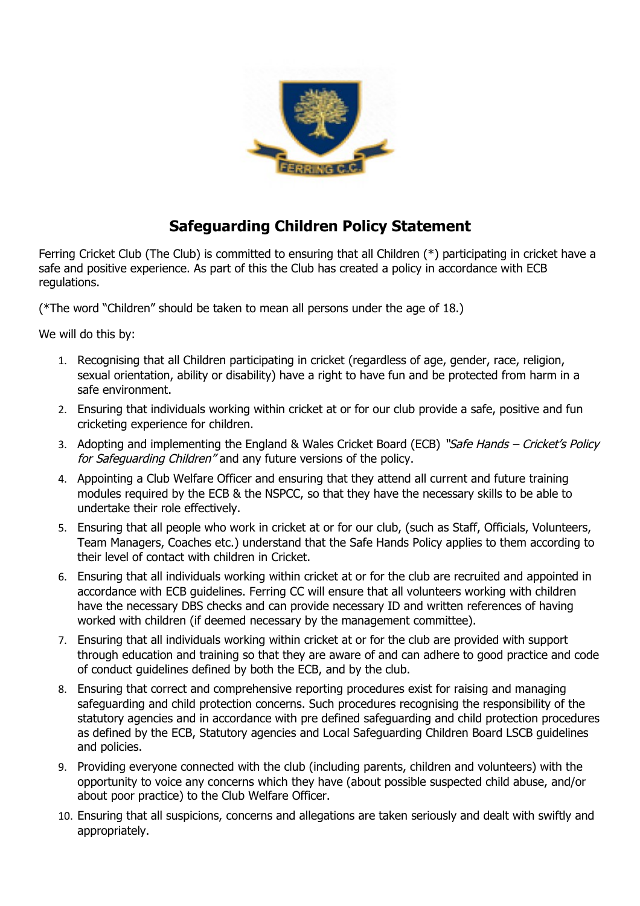

## **Safeguarding Children Policy Statement**

Ferring Cricket Club (The Club) is committed to ensuring that all Children (\*) participating in cricket have a safe and positive experience. As part of this the Club has created a policy in accordance with ECB regulations.

(\*The word "Children" should be taken to mean all persons under the age of 18.)

We will do this by:

- 1. Recognising that all Children participating in cricket (regardless of age, gender, race, religion, sexual orientation, ability or disability) have a right to have fun and be protected from harm in a safe environment.
- 2. Ensuring that individuals working within cricket at or for our club provide a safe, positive and fun cricketing experience for children.
- 3. Adopting and implementing the England & Wales Cricket Board (ECB) "Safe Hands Cricket's Policy for Safeguarding Children" and any future versions of the policy.
- 4. Appointing a Club Welfare Officer and ensuring that they attend all current and future training modules required by the ECB & the NSPCC, so that they have the necessary skills to be able to undertake their role effectively.
- 5. Ensuring that all people who work in cricket at or for our club, (such as Staff, Officials, Volunteers, Team Managers, Coaches etc.) understand that the Safe Hands Policy applies to them according to their level of contact with children in Cricket.
- 6. Ensuring that all individuals working within cricket at or for the club are recruited and appointed in accordance with ECB guidelines. Ferring CC will ensure that all volunteers working with children have the necessary DBS checks and can provide necessary ID and written references of having worked with children (if deemed necessary by the management committee).
- 7. Ensuring that all individuals working within cricket at or for the club are provided with support through education and training so that they are aware of and can adhere to good practice and code of conduct guidelines defined by both the ECB, and by the club.
- 8. Ensuring that correct and comprehensive reporting procedures exist for raising and managing safeguarding and child protection concerns. Such procedures recognising the responsibility of the statutory agencies and in accordance with pre defined safeguarding and child protection procedures as defined by the ECB, Statutory agencies and Local Safeguarding Children Board LSCB guidelines and policies.
- 9. Providing everyone connected with the club (including parents, children and volunteers) with the opportunity to voice any concerns which they have (about possible suspected child abuse, and/or about poor practice) to the Club Welfare Officer.
- 10. Ensuring that all suspicions, concerns and allegations are taken seriously and dealt with swiftly and appropriately.